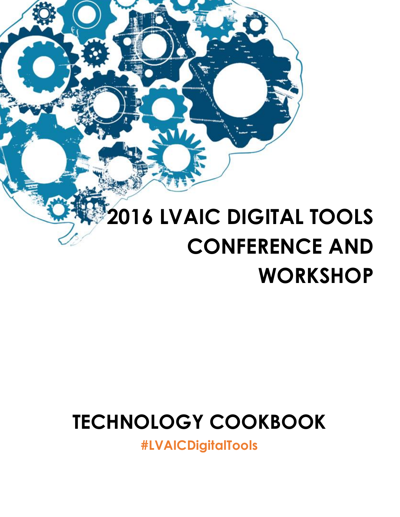# **2016 LVAIC DIGITAL TOOLS CONFERENCE AND WORKSHOP**

## **TECHNOLOGY COOKBOOK**

**[#LVAICDigitalTools](https://twitter.com)**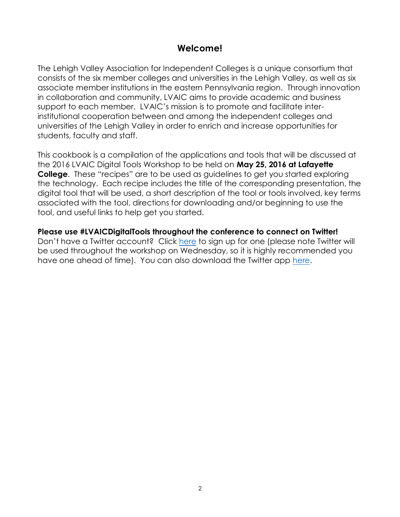## **Welcome!**

The Lehigh Valley Association for Independent Colleges is a unique consortium that consists of the six member colleges and universities in the Lehigh Valley, as well as six associate member institutions in the eastern Pennsylvania region. Through innovation in collaboration and community, LVAIC aims to provide academic and business support to each member. LVAIC's mission is to promote and facilitate interinstitutional cooperation between and among the independent colleges and universities of the Lehigh Valley in order to enrich and increase opportunities for students, faculty and staff.

This cookbook is a compilation of the applications and tools that will be discussed at the 2016 LVAIC Digital Tools Workshop to be held on **May 25, 2016 at Lafayette College**. These "recipes" are to be used as guidelines to get you started exploring the technology. Each recipe includes the title of the corresponding presentation, the digital tool that will be used, a short description of the tool or tools involved, key terms associated with the tool, directions for downloading and/or beginning to use the tool, and useful links to help get you started.

**Please use #LVAICDigitalTools throughout the conference to connect on Twitter!**  Don't have a Twitter account? Click [here](https://twitter.com/signup) to sign up for one (please note Twitter will be used throughout the workshop on Wednesday, so it is highly recommended you have one ahead of time). You can also download the Twitter app [here.](https://twitter.com/download?logged_out=1&lang=en)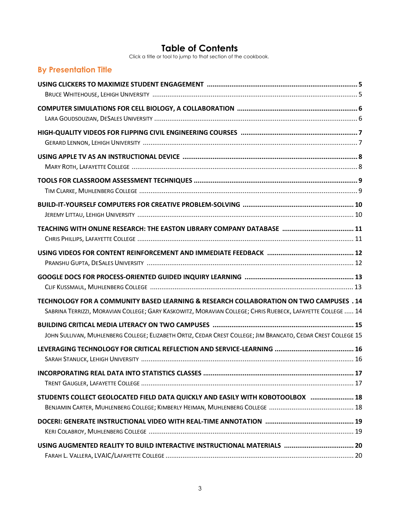## **Table of Contents**

Click a title or tool to jump to that section of the cookbook.

| <b>By Presentation Title</b>                                                                                                                                                                          |
|-------------------------------------------------------------------------------------------------------------------------------------------------------------------------------------------------------|
|                                                                                                                                                                                                       |
|                                                                                                                                                                                                       |
|                                                                                                                                                                                                       |
|                                                                                                                                                                                                       |
|                                                                                                                                                                                                       |
|                                                                                                                                                                                                       |
|                                                                                                                                                                                                       |
|                                                                                                                                                                                                       |
|                                                                                                                                                                                                       |
|                                                                                                                                                                                                       |
|                                                                                                                                                                                                       |
| TECHNOLOGY FOR A COMMUNITY BASED LEARNING & RESEARCH COLLABORATION ON TWO CAMPUSES . 14<br>SABRINA TERRIZZI, MORAVIAN COLLEGE; GARY KASKOWITZ, MORAVIAN COLLEGE; CHRIS RUEBECK, LAFAYETTE COLLEGE  14 |
| JOHN SULLIVAN, MUHLENBERG COLLEGE; ELIZABETH ORTIZ, CEDAR CREST COLLEGE; JIM BRANCATO, CEDAR CREST COLLEGE 15                                                                                         |
|                                                                                                                                                                                                       |
|                                                                                                                                                                                                       |
| STUDENTS COLLECT GEOLOCATED FIELD DATA QUICKLY AND EASILY WITH KOBOTOOLBOX  18                                                                                                                        |
|                                                                                                                                                                                                       |
|                                                                                                                                                                                                       |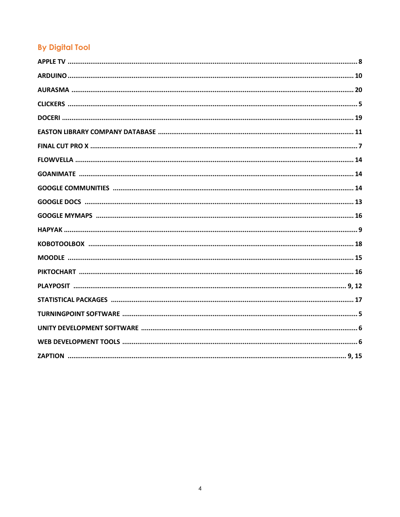## **By Digital Tool**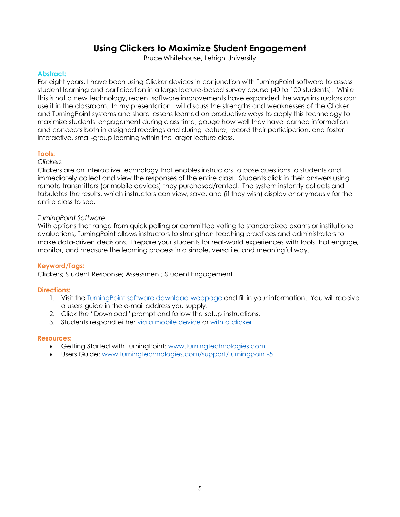## **Using Clickers to Maximize Student Engagement**

Bruce Whitehouse, Lehigh University

#### <span id="page-4-0"></span>**Abstract:**

For eight years, I have been using Clicker devices in conjunction with TurningPoint software to assess student learning and participation in a large lecture-based survey course (40 to 100 students). While this is not a new technology, recent software improvements have expanded the ways instructors can use it in the classroom. In my presentation I will discuss the strengths and weaknesses of the Clicker and TurningPoint systems and share lessons learned on productive ways to apply this technology to maximize students' engagement during class time, gauge how well they have learned information and concepts both in assigned readings and during lecture, record their participation, and foster interactive, small-group learning within the larger lecture class.

#### **Tools:**

#### *Clickers*

Clickers are an interactive technology that enables instructors to pose questions to students and immediately collect and view the responses of the entire class. Students click in their answers using remote transmitters (or mobile devices) they purchased/rented. The system instantly collects and tabulates the results, which instructors can view, save, and (if they wish) display anonymously for the entire class to see.

#### *TurningPoint Software*

With options that range from quick polling or committee voting to standardized exams or institutional evaluations, TurningPoint allows instructors to strengthen teaching practices and administrators to make data-driven decisions. Prepare your students for real-world experiences with tools that engage, monitor, and measure the learning process in a simple, versatile, and meaningful way.

#### **Keyword/Tags:**

Clickers; Student Response; Assessment; Student Engagement

#### **Directions:**

- 1. Visit the [TurningPoint software download webpage](https://www.turningtechnologies.com/DownloadForm/629) and fill in your information. You will receive a users guide in the e-mail address you supply.
- 2. Click the "Download" prompt and follow the setup instructions.
- 3. Students respond either [via a mobile device](https://www.turningtechnologies.com/higher-education#mobilesolutions) or [with a clicker.](https://www.turningtechnologies.com/higher-education#response-devices)

- Getting Started with TurningPoint: [www.turningtechnologies.com](http://www.turningtechnologies.com/)
- Users Guide: [www.turningtechnologies.com/support/turningpoint-5](http://www.turningtechnologies.com/support/turningpoint-5)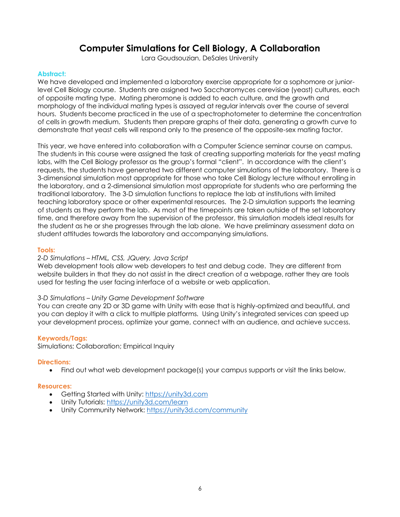## **Computer Simulations for Cell Biology, A Collaboration**

Lara Goudsouzian, DeSales University

#### <span id="page-5-0"></span>**Abstract:**

We have developed and implemented a laboratory exercise appropriate for a sophomore or juniorlevel Cell Biology course. Students are assigned two Saccharomyces cerevisiae (yeast) cultures, each of opposite mating type. Mating pheromone is added to each culture, and the growth and morphology of the individual mating types is assayed at regular intervals over the course of several hours. Students become practiced in the use of a spectrophotometer to determine the concentration of cells in growth medium. Students then prepare graphs of their data, generating a growth curve to demonstrate that yeast cells will respond only to the presence of the opposite-sex mating factor.

This year, we have entered into collaboration with a Computer Science seminar course on campus. The students in this course were assigned the task of creating supporting materials for the yeast mating labs, with the Cell Biology professor as the group's formal "client". In accordance with the client's requests, the students have generated two different computer simulations of the laboratory. There is a 3-dimensional simulation most appropriate for those who take Cell Biology lecture without enrolling in the laboratory, and a 2-dimensional simulation most appropriate for students who are performing the traditional laboratory. The 3-D simulation functions to replace the lab at institutions with limited teaching laboratory space or other experimental resources. The 2-D simulation supports the learning of students as they perform the lab. As most of the timepoints are taken outside of the set laboratory time, and therefore away from the supervision of the professor, this simulation models ideal results for the student as he or she progresses through the lab alone. We have preliminary assessment data on student attitudes towards the laboratory and accompanying simulations.

#### **Tools:**

#### *2-D Simulations – HTML, CSS, JQuery, Java Script*

Web development tools allow web developers to test and debug code. They are different from website builders in that they do not assist in the direct creation of a webpage, rather they are tools used for testing the user facing interface of a website or web application.

#### *3-D Simulations – Unity Game Development Software*

You can create any 2D or 3D game with Unity with ease that is highly-optimized and beautiful, and you can deploy it with a click to multiple platforms. Using Unity's integrated services can speed up your development process, optimize your game, connect with an audience, and achieve success.

#### **Keywords/Tags:**

Simulations; Collaboration; Empirical Inquiry

#### **Directions:**

Find out what web development package(s) your campus supports or visit the links below.

- Getting Started with Unity: [https://unity3d.com](https://unity3d.com/)
- Unity Tutorials:<https://unity3d.com/learn>
- Unity Community Network[: https://unity3d.com/community](https://unity3d.com/community)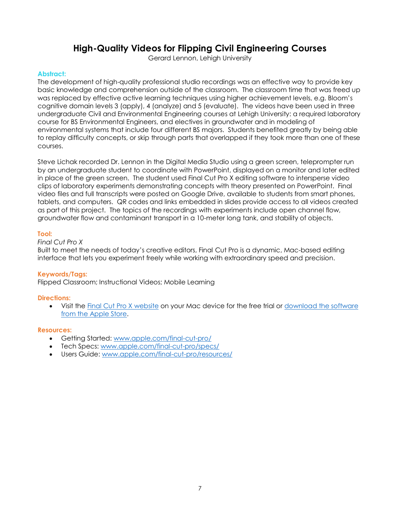## **High-Quality Videos for Flipping Civil Engineering Courses**

Gerard Lennon, Lehigh University

#### <span id="page-6-0"></span>**Abstract:**

The development of high-quality professional studio recordings was an effective way to provide key basic knowledge and comprehension outside of the classroom. The classroom time that was freed up was replaced by effective active learning techniques using higher achievement levels, e.g. Bloom's cognitive domain levels 3 (apply), 4 (analyze) and 5 (evaluate). The videos have been used in three undergraduate Civil and Environmental Engineering courses at Lehigh University: a required laboratory course for BS Environmental Engineers, and electives in groundwater and in modeling of environmental systems that include four different BS majors. Students benefited greatly by being able to replay difficulty concepts, or skip through parts that overlapped if they took more than one of these courses.

Steve Lichak recorded Dr. Lennon in the Digital Media Studio using a green screen, teleprompter run by an undergraduate student to coordinate with PowerPoint, displayed on a monitor and later edited in place of the green screen. The student used Final Cut Pro X editing software to intersperse video clips of laboratory experiments demonstrating concepts with theory presented on PowerPoint. Final video files and full transcripts were posted on Google Drive, available to students from smart phones, tablets, and computers. QR codes and links embedded in slides provide access to all videos created as part of this project. The topics of the recordings with experiments include open channel flow, groundwater flow and contaminant transport in a 10-meter long tank, and stability of objects.

#### **Tool:**

#### *Final Cut Pro X*

Built to meet the needs of today's creative editors, Final Cut Pro is a dynamic, Mac-based editing interface that lets you experiment freely while working with extraordinary speed and precision.

#### **Keywords/Tags:**

Flipped Classroom; Instructional Videos; Mobile Learning

#### **Directions:**

• Visit the [Final Cut Pro X website](http://www.apple.com/final-cut-pro/trial/) on your Mac device for the free trial or [download the software](https://itunes.apple.com/us/app/final-cut-pro/id424389933?mt=12) [from the Apple Store.](https://itunes.apple.com/us/app/final-cut-pro/id424389933?mt=12)

- Getting Started[: www.apple.com/final-cut-pro/](http://www.apple.com/final-cut-pro/)
- Tech Specs: [www.apple.com/final-cut-pro/specs/](http://www.apple.com/final-cut-pro/specs/)
- Users Guide: [www.apple.com/final-cut-pro/resources/](http://www.apple.com/final-cut-pro/resources/)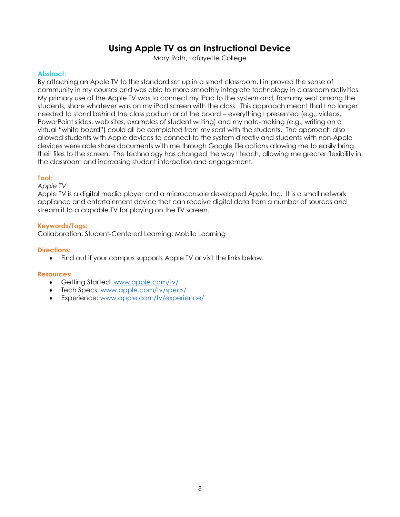## **Using Apple TV as an Instructional Device**

Mary Roth, Lafayette College

#### <span id="page-7-0"></span>**Abstract:**

By attaching an Apple TV to the standard set up in a smart classroom, I improved the sense of community in my courses and was able to more smoothly integrate technology in classroom activities. My primary use of the Apple TV was to connect my iPad to the system and, from my seat among the students, share whatever was on my iPad screen with the class. This approach meant that I no longer needed to stand behind the class podium or at the board – everything I presented (e.g., videos, PowerPoint slides, web sites, examples of student writing) and my note-making (e.g., writing on a virtual "white board") could all be completed from my seat with the students. The approach also allowed students with Apple devices to connect to the system directly and students with non-Apple devices were able share documents with me through Google file options allowing me to easily bring their files to the screen. The technology has changed the way I teach, allowing me greater flexibility in the classroom and increasing student interaction and engagement.

#### **Tool:**

#### *Apple TV*

Apple TV is a digital media player and a microconsole developed Apple, Inc. It is a small network appliance and entertainment device that can receive digital data from a number of sources and stream it to a capable TV for playing on the TV screen.

#### **Keywords/Tags:**

Collaboration; Student-Centered Learning; Mobile Learning

#### **Directions:**

• Find out if your campus supports Apple TV or visit the links below.

- Getting Started[: www.apple.com/tv/](http://www.apple.com/tv/)
- Tech Specs: [www.apple.com/tv/specs/](http://www.apple.com/tv/specs/)
- Experience: [www.apple.com/tv/experience/](http://www.apple.com/tv/experience/)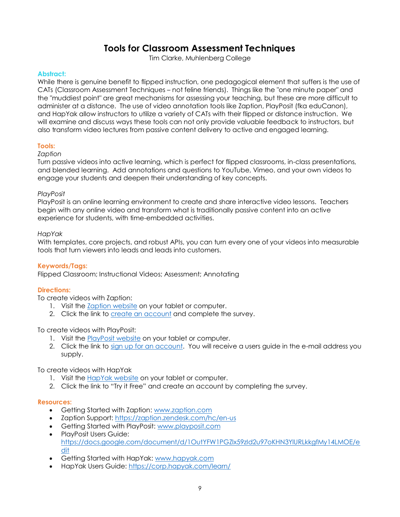## **Tools for Classroom Assessment Techniques**

Tim Clarke, Muhlenberg College

#### <span id="page-8-0"></span>**Abstract:**

While there is genuine benefit to flipped instruction, one pedagogical element that suffers is the use of CATs (Classroom Assessment Techniques – not feline friends). Things like the "one minute paper" and the "muddiest point" are great mechanisms for assessing your teaching, but these are more difficult to administer at a distance. The use of video annotation tools like Zaption, PlayPosit (fka eduCanon), and HapYak allow instructors to utilize a variety of CATs with their flipped or distance instruction. We will examine and discuss ways these tools can not only provide valuable feedback to instructors, but also transform video lectures from passive content delivery to active and engaged learning.

#### **Tools:**

#### *Zaption*

Turn passive videos into active learning, which is perfect for flipped classrooms, in-class presentations, and blended learning. Add annotations and questions to YouTube, Vimeo, and your own videos to engage your students and deepen their understanding of key concepts.

#### *PlayPosit*

PlayPosit is an online learning environment to create and share interactive video lessons. Teachers begin with any online video and transform what is traditionally passive content into an active experience for students, with time-embedded activities.

#### *HapYak*

With templates, core projects, and robust APIs, you can turn every one of your videos into measurable tools that turn viewers into leads and leads into customers.

#### **Keywords/Tags:**

Flipped Classroom; Instructional Videos; Assessment; Annotating

#### **Directions:**

To create videos with Zaption:

- 1. Visit the [Zaption website](http://www.zaption.com/) on your tablet or computer.
- 2. Click the link to [create an account](https://www.zaption.com/signup) and complete the survey.

#### To create videos with PlayPosit:

- 1. Visit the **PlayPosit website** on your tablet or computer.
- 2. Click the link to [sign up for an account.](https://www.playposit.com/join) You will receive a users guide in the e-mail address you supply.

To create videos with HapYak

- 1. Visit the [HapYak website](https://corp.hapyak.com/) on your tablet or computer.
- 2. Click the link to "Try it Free" and create an account by completing the survey.

- Getting Started with Zaption[: www.zaption.com](http://www.zaption.com/)
- Zaption Support:<https://zaption.zendesk.com/hc/en-us>
- Getting Started with PlayPosit: [www.playposit.com](http://www.playposit.com/)
- PlayPosit Users Guide: [https://docs.google.com/document/d/1OutYFW1PGZlx59zId2u97oKHN3YlURLkkgfMy14LMOE/e](https://docs.google.com/document/d/1OutYFW1PGZlx59zId2u97oKHN3YlURLkkgfMy14LMOE/edit) [dit](https://docs.google.com/document/d/1OutYFW1PGZlx59zId2u97oKHN3YlURLkkgfMy14LMOE/edit)
- Getting Started with HapYak: [www.hapyak.com](http://www.hapyak.com/)
- HapYak Users Guide:<https://corp.hapyak.com/learn/>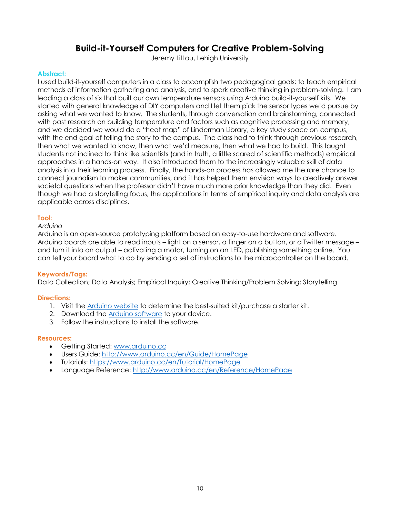## **Build-it-Yourself Computers for Creative Problem-Solving**

Jeremy Littau, Lehigh University

#### <span id="page-9-0"></span>**Abstract:**

I used build-it-yourself computers in a class to accomplish two pedagogical goals: to teach empirical methods of information gathering and analysis, and to spark creative thinking in problem-solving. I am leading a class of six that built our own temperature sensors using Arduino build-it-yourself kits. We started with general knowledge of DIY computers and I let them pick the sensor types we'd pursue by asking what we wanted to know. The students, through conversation and brainstorming, connected with past research on building temperature and factors such as cognitive processing and memory, and we decided we would do a "heat map" of Linderman Library, a key study space on campus, with the end goal of telling the story to the campus. The class had to think through previous research, then what we wanted to know, then what we'd measure, then what we had to build. This taught students not inclined to think like scientists (and in truth, a little scared of scientific methods) empirical approaches in a hands-on way. It also introduced them to the increasingly valuable skill of data analysis into their learning process. Finally, the hands-on process has allowed me the rare chance to connect journalism to maker communities, and it has helped them envision ways to creatively answer societal questions when the professor didn't have much more prior knowledge than they did. Even though we had a storytelling focus, the applications in terms of empirical inquiry and data analysis are applicable across disciplines.

#### **Tool:**

*Arduino* 

Arduino is an open-source prototyping platform based on easy-to-use hardware and software. Arduino boards are able to read inputs – light on a sensor, a finger on a button, or a Twitter message – and turn it into an output – activating a motor, turning on an LED, publishing something online. You can tell your board what to do by sending a set of instructions to the microcontroller on the board.

#### **Keywords/Tags:**

Data Collection; Data Analysis; Empirical Inquiry; Creative Thinking/Problem Solving; Storytelling

#### **Directions:**

- 1. Visit the [Arduino website](https://www.arduino.cc/) to determine the best-suited kit/purchase a starter kit.
- 2. Download the [Arduino software](https://www.arduino.cc/en/Main/Software) to your device.
- 3. Follow the instructions to install the software.

- Getting Started[: www.arduino.cc](http://www.arduino.cc/)
- Users Guide:<http://www.arduino.cc/en/Guide/HomePage>
- Tutorials:<https://www.arduino.cc/en/Tutorial/HomePage>
- Language Reference:<http://www.arduino.cc/en/Reference/HomePage>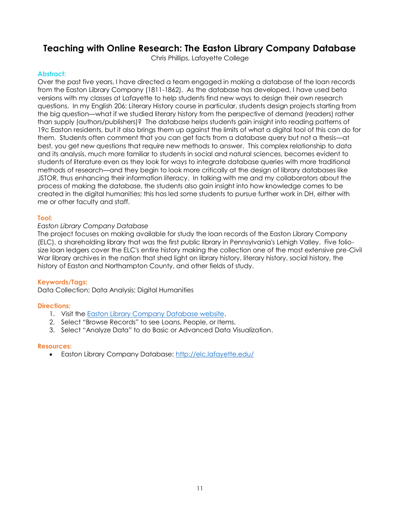## <span id="page-10-0"></span>**Teaching with Online Research: The Easton Library Company Database**

Chris Phillips, Lafayette College

#### **Abstract:**

Over the past five years, I have directed a team engaged in making a database of the loan records from the Easton Library Company (1811-1862). As the database has developed, I have used beta versions with my classes at Lafayette to help students find new ways to design their own research questions. In my English 206: Literary History course in particular, students design projects starting from the big question—what if we studied literary history from the perspective of demand (readers) rather than supply (authors/publishers)? The database helps students gain insight into reading patterns of 19c Easton residents, but it also brings them up against the limits of what a digital tool of this can do for them. Students often comment that you can get facts from a database query but not a thesis—at best, you get new questions that require new methods to answer. This complex relationship to data and its analysis, much more familiar to students in social and natural sciences, becomes evident to students of literature even as they look for ways to integrate database queries with more traditional methods of research—and they begin to look more critically at the design of library databases like JSTOR, thus enhancing their information literacy. In talking with me and my collaborators about the process of making the database, the students also gain insight into how knowledge comes to be created in the digital humanities; this has led some students to pursue further work in DH, either with me or other faculty and staff.

#### **Tool:**

#### *Easton Library Company Database*

The project focuses on making available for study the loan records of the Easton Library Company (ELC), a shareholding library that was the first public library in Pennsylvania's Lehigh Valley. Five foliosize loan ledgers cover the ELC's entire history making the collection one of the most extensive pre-Civil War library archives in the nation that shed light on library history, literary history, social history, the history of Easton and Northampton County, and other fields of study.

#### **Keywords/Tags:**

Data Collection; Data Analysis; Digital Humanities

#### **Directions:**

- 1. Visit the [Easton Library Company Database website.](http://elc.lafayette.edu/)
- 2. Select "Browse Records" to see Loans, People, or Items.
- 3. Select "Analyze Data" to do Basic or Advanced Data Visualization.

#### **Resources:**

Easton Library Company Database:<http://elc.lafayette.edu/>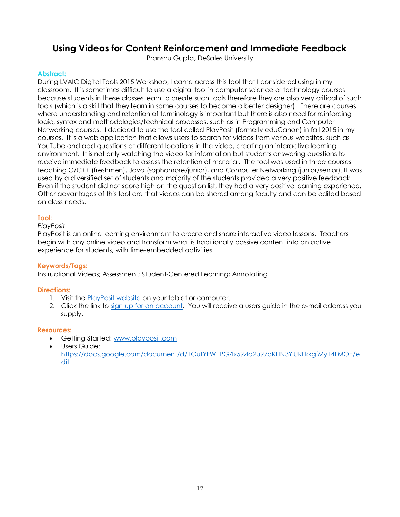## <span id="page-11-0"></span>**Using Videos for Content Reinforcement and Immediate Feedback**

Pranshu Gupta, DeSales University

#### **Abstract:**

During LVAIC Digital Tools 2015 Workshop, I came across this tool that I considered using in my classroom. It is sometimes difficult to use a digital tool in computer science or technology courses because students in these classes learn to create such tools therefore they are also very critical of such tools (which is a skill that they learn in some courses to become a better designer). There are courses where understanding and retention of terminology is important but there is also need for reinforcing logic, syntax and methodologies/technical processes, such as in Programming and Computer Networking courses. I decided to use the tool called PlayPosit (formerly eduCanon) in fall 2015 in my courses. It is a web application that allows users to search for videos from various websites, such as YouTube and add questions at different locations in the video, creating an interactive learning environment. It is not only watching the video for information but students answering questions to receive immediate feedback to assess the retention of material. The tool was used in three courses teaching C/C++ (freshmen), Java (sophomore/junior), and Computer Networking (junior/senior). It was used by a diversified set of students and majority of the students provided a very positive feedback. Even if the student did not score high on the question list, they had a very positive learning experience. Other advantages of this tool are that videos can be shared among faculty and can be edited based on class needs.

#### **Tool:**

#### *PlayPosit*

PlayPosit is an online learning environment to create and share interactive video lessons. Teachers begin with any online video and transform what is traditionally passive content into an active experience for students, with time-embedded activities.

#### **Keywords/Tags:**

Instructional Videos; Assessment; Student-Centered Learning; Annotating

#### **Directions:**

- 1. Visit the **PlayPosit website** on your tablet or computer.
- 2. Click the link to [sign up for an account.](https://www.playposit.com/join) You will receive a users guide in the e-mail address you supply.

- Getting Started[: www.playposit.com](http://www.playposit.com/)
- Users Guide: [https://docs.google.com/document/d/1OutYFW1PGZlx59zId2u97oKHN3YlURLkkgfMy14LMOE/e](https://docs.google.com/document/d/1OutYFW1PGZlx59zId2u97oKHN3YlURLkkgfMy14LMOE/edit) [dit](https://docs.google.com/document/d/1OutYFW1PGZlx59zId2u97oKHN3YlURLkkgfMy14LMOE/edit)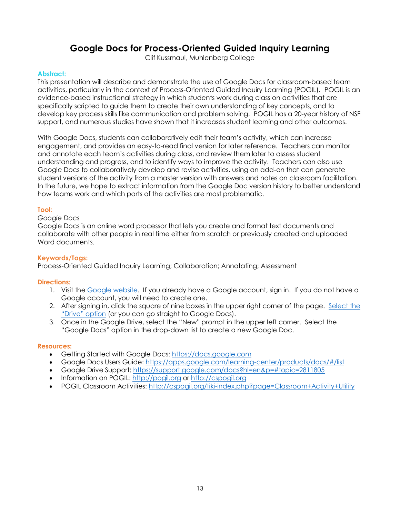## **Google Docs for Process-Oriented Guided Inquiry Learning**

Clif Kussmaul, Muhlenberg College

#### <span id="page-12-0"></span>**Abstract:**

This presentation will describe and demonstrate the use of Google Docs for classroom-based team activities, particularly in the context of Process-Oriented Guided Inquiry Learning (POGIL). POGIL is an evidence-based instructional strategy in which students work during class on activities that are specifically scripted to guide them to create their own understanding of key concepts, and to develop key process skills like communication and problem solving. POGIL has a 20-year history of NSF support, and numerous studies have shown that it increases student learning and other outcomes.

With Google Docs, students can collaboratively edit their team's activity, which can increase engagement, and provides an easy-to-read final version for later reference. Teachers can monitor and annotate each team's activities during class, and review them later to assess student understanding and progress, and to identify ways to improve the activity. Teachers can also use Google Docs to collaboratively develop and revise activities, using an add-on that can generate student versions of the activity from a master version with answers and notes on classroom facilitation. In the future, we hope to extract information from the Google Doc version history to better understand how teams work and which parts of the activities are most problematic.

#### **Tool:**

#### *Google Docs*

Google Docs is an online word processor that lets you create and format text documents and collaborate with other people in real time either from scratch or previously created and uploaded Word documents.

#### **Keywords/Tags:**

Process-Oriented Guided Inquiry Learning; Collaboration; Annotating; Assessment

#### **Directions:**

- 1. Visit the [Google website.](https://accounts.google.com/login) If you already have a Google account, sign in. If you do not have a Google account, you will need to create one.
- 2. After signing in, click the square of nine boxes in the upper right corner of the page. [Select the](https://drive.google.com/drive/) ["Drive" option](https://drive.google.com/drive/) (or you can go straight to Google Docs).
- 3. Once in the Google Drive, select the "New" prompt in the upper left corner. Select the "Google Docs" option in the drop-down list to create a new Google Doc.

- Getting Started with Google Docs: [https://docs.google.com](https://docs.google.com/)
- Google Docs Users Guide:<https://apps.google.com/learning-center/products/docs/#/list>
- Google Drive Support:<https://support.google.com/docs?hl=en&p=#topic=2811805>
- Information on POGIL: [http://pogil.org](http://pogil.org/) or [http://cspogil.org](http://cspogil.org/)
- POGIL Classroom Activities:<http://cspogil.org/tiki-index.php?page=Classroom+Activity+Utility>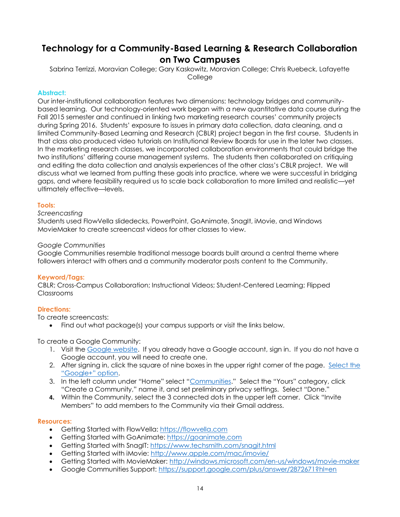## <span id="page-13-0"></span>**Technology for a Community-Based Learning & Research Collaboration on Two Campuses**

Sabrina Terrizzi, Moravian College; Gary Kaskowitz, Moravian College; Chris Ruebeck, Lafayette **College** 

#### **Abstract:**

Our inter-institutional collaboration features two dimensions: technology bridges and communitybased learning. Our technology-oriented work began with a new quantitative data course during the Fall 2015 semester and continued in linking two marketing research courses' community projects during Spring 2016. Students' exposure to issues in primary data collection, data cleaning, and a limited Community-Based Learning and Research (CBLR) project began in the first course. Students in that class also produced video tutorials on Institutional Review Boards for use in the later two classes. In the marketing research classes, we incorporated collaboration environments that could bridge the two institutions' differing course management systems. The students then collaborated on critiquing and editing the data collection and analysis experiences of the other class's CBLR project. We will discuss what we learned from putting these goals into practice, where we were successful in bridging gaps, and where feasibility required us to scale back collaboration to more limited and realistic—yet ultimately effective—levels.

#### **Tools:**

#### *Screencasting*

Students used FlowVella slidedecks, PowerPoint, GoAnimate, SnagIt, iMovie, and Windows MovieMaker to create screencast videos for other classes to view.

#### *Google Communities*

Google Communities resemble traditional message boards built around a central theme where followers interact with others and a community moderator posts content to the Community.

#### **Keyword/Tags:**

CBLR; Cross-Campus Collaboration; Instructional Videos; Student-Centered Learning; Flipped Classrooms

#### **Directions:**

To create screencasts:

Find out what package(s) your campus supports or visit the links below.

To create a Google Community:

- 1. Visit the [Google website.](https://accounts.google.com/login) If you already have a Google account, sign in. If you do not have a Google account, you will need to create one.
- 2. After signing in, click the square of nine boxes in the upper right corner of the page. [Select the](https://plus.google.com/u/0/)  ["Google+" option](https://plus.google.com/u/0/).
- 3. In the left column under "Home" select "[Communities](https://plus.google.com/u/0/communities/yours)." Select the "Yours" category, click "Create a Community," name it, and set preliminary privacy settings. Select "Done."
- **4.** Within the Community, select the 3 connected dots in the upper left corner. Click "Invite Members" to add members to the Community via their Gmail address.

- Getting Started with FlowVella: [https://flowvella.com](https://flowvella.com/)
- Getting Started with GoAnimate: [https://goanimate.com](https://goanimate.com/)
- Getting Started with SnagIT: <https://www.techsmith.com/snagit.html>
- Getting Started with iMovie: <http://www.apple.com/mac/imovie/>
- Getting Started with MovieMaker: <http://windows.microsoft.com/en-us/windows/movie-maker>
- Google Communities Support:<https://support.google.com/plus/answer/2872671?hl=en>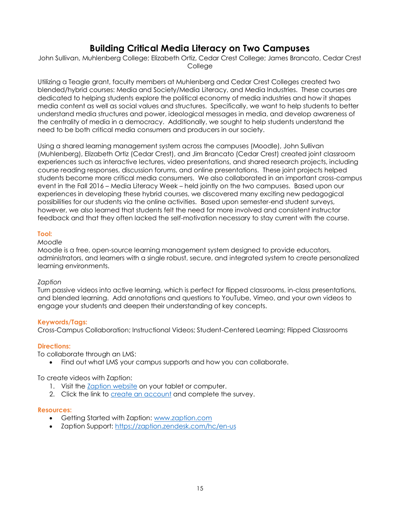## **Building Critical Media Literacy on Two Campuses**

<span id="page-14-0"></span>John Sullivan, Muhlenberg College; Elizabeth Ortiz, Cedar Crest College; James Brancato, Cedar Crest College

Utilizing a Teagle grant, faculty members at Muhlenberg and Cedar Crest Colleges created two blended/hybrid courses: Media and Society/Media Literacy, and Media Industries. These courses are dedicated to helping students explore the political economy of media industries and how it shapes media content as well as social values and structures. Specifically, we want to help students to better understand media structures and power, ideological messages in media, and develop awareness of the centrality of media in a democracy. Additionally, we sought to help students understand the need to be both critical media consumers and producers in our society.

Using a shared learning management system across the campuses (Moodle), John Sullivan (Muhlenberg), Elizabeth Ortiz (Cedar Crest), and Jim Brancato (Cedar Crest) created joint classroom experiences such as interactive lectures, video presentations, and shared research projects, including course reading responses, discussion forums, and online presentations. These joint projects helped students become more critical media consumers. We also collaborated in an important cross-campus event in the Fall 2016 – Media Literacy Week – held jointly on the two campuses. Based upon our experiences in developing these hybrid courses, we discovered many exciting new pedagogical possibilities for our students via the online activities. Based upon semester-end student surveys, however, we also learned that students felt the need for more involved and consistent instructor feedback and that they often lacked the self-motivation necessary to stay current with the course.

#### **Tool:**

#### *Moodle*

Moodle is a free, open-source learning management system designed to provide educators, administrators, and learners with a single robust, secure, and integrated system to create personalized learning environments.

#### *Zaption*

Turn passive videos into active learning, which is perfect for flipped classrooms, in-class presentations, and blended learning. Add annotations and questions to YouTube, Vimeo, and your own videos to engage your students and deepen their understanding of key concepts.

#### **Keywords/Tags:**

Cross-Campus Collaboration; Instructional Videos; Student-Centered Learning; Flipped Classrooms

#### **Directions:**

To collaborate through an LMS:

Find out what LMS your campus supports and how you can collaborate.

To create videos with Zaption:

- 1. Visit the **Zaption website** on your tablet or computer.
- 2. Click the link to [create an](https://www.zaption.com/signup) account and complete the survey.

- Getting Started with Zaption: [www.zaption.com](http://www.zaption.com/)
- Zaption Support:<https://zaption.zendesk.com/hc/en-us>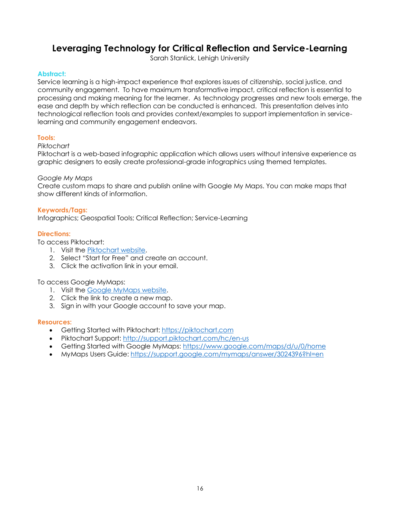## <span id="page-15-0"></span>**Leveraging Technology for Critical Reflection and Service-Learning**

Sarah Stanlick, Lehigh University

#### **Abstract:**

Service learning is a high-impact experience that explores issues of citizenship, social justice, and community engagement. To have maximum transformative impact, critical reflection is essential to processing and making meaning for the learner. As technology progresses and new tools emerge, the ease and depth by which reflection can be conducted is enhanced. This presentation delves into technological reflection tools and provides context/examples to support implementation in servicelearning and community engagement endeavors.

#### **Tools:**

#### *Piktochart*

Piktochart is a web-based infographic application which allows users without intensive experience as graphic designers to easily create professional-grade infographics using themed templates.

#### *Google My Maps*

Create custom maps to share and publish online with Google My Maps. You can make maps that show different kinds of information.

#### **Keywords/Tags:**

Infographics; Geospatial Tools; Critical Reflection; Service-Learning

#### **Directions:**

To access Piktochart:

- 1. Visit the [Piktochart website.](https://piktochart.com/)
- 2. Select "Start for Free" and create an account.
- 3. Click the activation link in your email.

To access Google MyMaps:

- 1. Visit the [Google MyMaps website.](https://www.google.com/maps/d/u/0/home)
- 2. Click the link to create a new map.
- 3. Sign in with your Google account to save your map.

- Getting Started with Piktochart[: https://piktochart.com](https://piktochart.com/)
- Piktochart Support:<http://support.piktochart.com/hc/en-us>
- Getting Started with Google MyMaps: <https://www.google.com/maps/d/u/0/home>
- MyMaps Users Guide: <https://support.google.com/mymaps/answer/3024396?hl=en>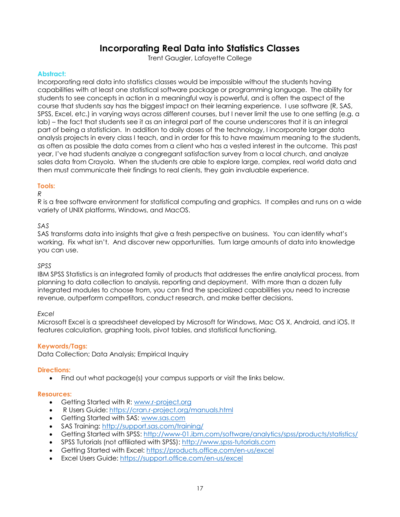## **Incorporating Real Data into Statistics Classes**

Trent Gaugler, Lafayette College

#### <span id="page-16-0"></span>**Abstract:**

Incorporating real data into statistics classes would be impossible without the students having capabilities with at least one statistical software package or programming language. The ability for students to see concepts in action in a meaningful way is powerful, and is often the aspect of the course that students say has the biggest impact on their learning experience. I use software (R, SAS, SPSS, Excel, etc.) in varying ways across different courses, but I never limit the use to one setting (e.g. a lab) – the fact that students see it as an integral part of the course underscores that it is an integral part of being a statistician. In addition to daily doses of the technology, I incorporate larger data analysis projects in every class I teach, and in order for this to have maximum meaning to the students, as often as possible the data comes from a client who has a vested interest in the outcome. This past year, I've had students analyze a congregant satisfaction survey from a local church, and analyze sales data from Crayola. When the students are able to explore large, complex, real world data and then must communicate their findings to real clients, they gain invaluable experience.

#### **Tools:**

#### *R*

R is a free software environment for statistical computing and graphics. It compiles and runs on a wide variety of UNIX platforms, Windows, and MacOS.

#### *SAS*

SAS transforms data into insights that give a fresh perspective on business. You can identify what's working. Fix what isn't. And discover new opportunities. Turn large amounts of data into knowledge you can use.

#### *SPSS*

IBM SPSS Statistics is an integrated family of products that addresses the entire analytical process, from planning to data collection to analysis, reporting and deployment. With more than a dozen fully integrated modules to choose from, you can find the specialized capabilities you need to increase revenue, outperform competitors, conduct research, and make better decisions.

#### *Excel*

Microsoft Excel is a spreadsheet developed by Microsoft for Windows, Mac OS X, Android, and iOS. It features calculation, graphing tools, pivot tables, and statistical functioning.

#### **Keywords/Tags:**

Data Collection; Data Analysis; Empirical Inquiry

#### **Directions:**

• Find out what package(s) your campus supports or visit the links below.

- Getting Started with R: [www.r-project.org](http://www.r-project.org/)
- R Users Guide[: https://cran.r-project.org/manuals.html](https://cran.r-project.org/manuals.html)
- Getting Started with SAS: [www.sas.com](http://www.sas.com/)
- SAS Training:<http://support.sas.com/training/>
- Getting Started with SPSS:<http://www-01.ibm.com/software/analytics/spss/products/statistics/>
- SPSS Tutorials (not affiliated with SPSS): [http://www.spss-tutorials.com](http://www.spss-tutorials.com/)
- Getting Started with Excel: <https://products.office.com/en-us/excel>
- Excel Users Guide: <https://support.office.com/en-us/excel>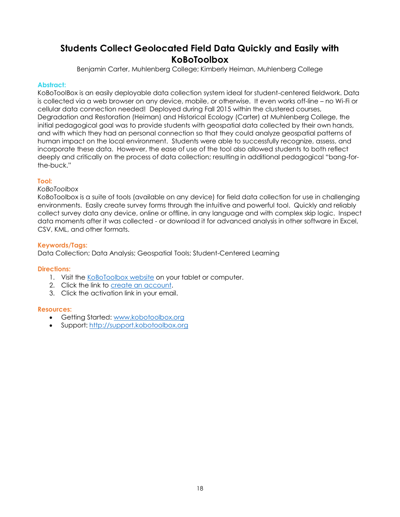## <span id="page-17-0"></span>**Students Collect Geolocated Field Data Quickly and Easily with KoBoToolbox**

Benjamin Carter, Muhlenberg College; Kimberly Heiman, Muhlenberg College

#### **Abstract:**

KoBoToolBox is an easily deployable data collection system ideal for student-centered fieldwork. Data is collected via a web browser on any device, mobile, or otherwise. It even works off-line – no Wi-Fi or cellular data connection needed! Deployed during Fall 2015 within the clustered courses, Degradation and Restoration (Heiman) and Historical Ecology (Carter) at Muhlenberg College, the initial pedagogical goal was to provide students with geospatial data collected by their own hands, and with which they had an personal connection so that they could analyze geospatial patterns of human impact on the local environment. Students were able to successfully recognize, assess, and incorporate these data. However, the ease of use of the tool also allowed students to both reflect deeply and critically on the process of data collection; resulting in additional pedagogical "bang-forthe-buck."

#### **Tool:**

#### *KoBoToolbox*

KoBoToolbox is a suite of tools (available on any device) for field data collection for use in challenging environments. Easily create survey forms through the intuitive and powerful tool. Quickly and reliably collect survey data any device, online or offline, in any language and with complex skip logic. Inspect data moments after it was collected - or download it for advanced analysis in other software in Excel, CSV, KML, and other formats.

#### **Keywords/Tags:**

Data Collection; Data Analysis; Geospatial Tools; Student-Centered Learning

#### **Directions:**

- 1. Visit the [KoBoToolbox](http://www.kobotoolbox.org/) website on your tablet or computer.
- 2. Click the link to [create an account.](https://kf.kobotoolbox.org/accounts/login/?next=/)
- 3. Click the activation link in your email.

- Getting Started[: www.kobotoolbox.org](http://www.kobotoolbox.org/)
- Support: [http://support.kobotoolbox.org](http://support.kobotoolbox.org/)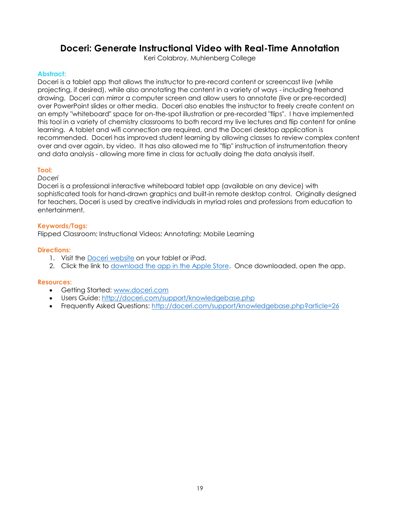## <span id="page-18-0"></span>**Doceri: Generate Instructional Video with Real-Time Annotation**

Keri Colabroy, Muhlenberg College

#### **Abstract:**

Doceri is a tablet app that allows the instructor to pre-record content or screencast live (while projecting, if desired), while also annotating the content in a variety of ways - including freehand drawing. Doceri can mirror a computer screen and allow users to annotate (live or pre-recorded) over PowerPoint slides or other media. Doceri also enables the instructor to freely create content on an empty "whiteboard" space for on-the-spot illustration or pre-recorded "flips". I have implemented this tool in a variety of chemistry classrooms to both record my live lectures and flip content for online learning. A tablet and wifi connection are required, and the Doceri desktop application is recommended. Doceri has improved student learning by allowing classes to review complex content over and over again, by video. It has also allowed me to "flip" instruction of instrumentation theory and data analysis - allowing more time in class for actually doing the data analysis itself.

#### **Tool:**

#### *Doceri*

Doceri is a professional interactive whiteboard tablet app (available on any device) with sophisticated tools for hand-drawn graphics and built-in remote desktop control. Originally designed for teachers, Doceri is used by creative individuals in myriad roles and professions from education to entertainment.

#### **Keywords/Tags:**

Flipped Classroom; Instructional Videos; Annotating; Mobile Learning

#### **Directions:**

- 1. Visit the **Doceri website** on your tablet or iPad.
- 2. Click the link to [download the app in the Apple Store.](https://itunes.apple.com/us/app/doceri-remote/id412443803?mt=8&ls=1) Once downloaded, open the app.

- Getting Started[: www.doceri.com](http://www.doceri.com/)
- Users Guide:<http://doceri.com/support/knowledgebase.php>
- Frequently Asked Questions:<http://doceri.com/support/knowledgebase.php?article=26>